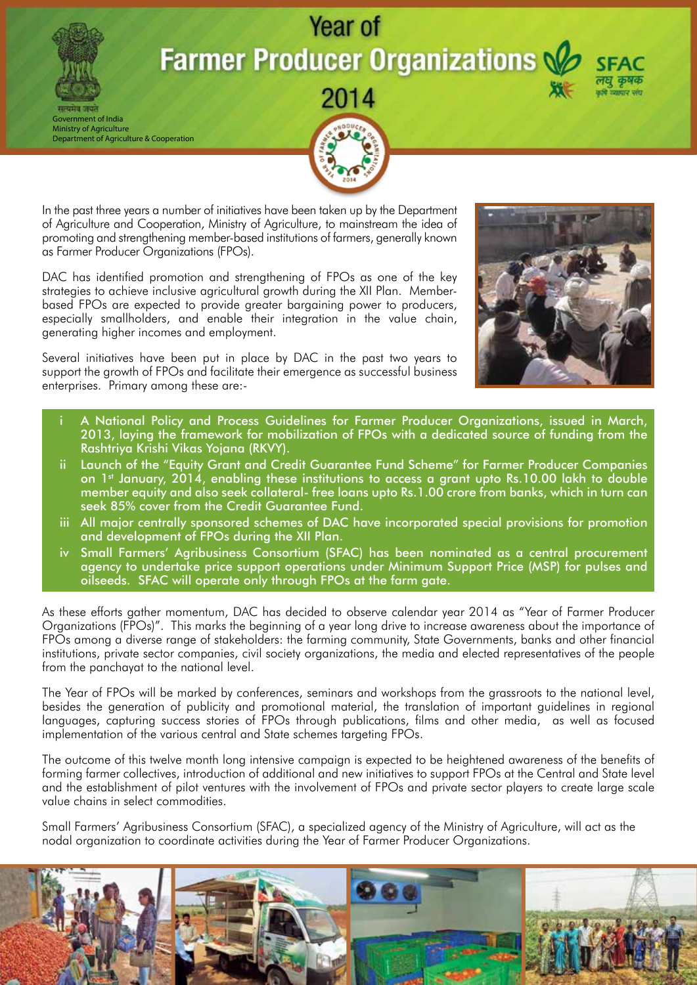## Year of **Farmer Producer Organizations \**

Government of India Ministry of Agriculture Department of Agriculture & Cooperation



In the past three years a number of initiatives have been taken up by the Department of Agriculture and Cooperation, Ministry of Agriculture, to mainstream the idea of promoting and strengthening member-based institutions of farmers, generally known as Farmer Producer Organizations (FPOs).

DAC has identified promotion and strengthening of FPOs as one of the key strategies to achieve inclusive agricultural growth during the XII Plan. Memberbased FPOs are expected to provide greater bargaining power to producers, especially smallholders, and enable their integration in the value chain, generating higher incomes and employment.

Several initiatives have been put in place by DAC in the past two years to support the growth of FPOs and facilitate their emergence as successful business enterprises. Primary among these are:-



- A National Policy and Process Guidelines for Farmer Producer Organizations, issued in March, 2013, laying the framework for mobilization of FPOs with a dedicated source of funding from the Rashtriya Krishi Vikas Yojana (RKVY).
- Launch of the "Equity Grant and Credit Guarantee Fund Scheme" for Farmer Producer Companies on 1st January, 2014, enabling these institutions to access a grant upto Rs.10.00 lakh to double member equity and also seek collateral- free loans upto Rs.1.00 crore from banks, which in turn can seek 85% cover from the Credit Guarantee Fund.
- iii All major centrally sponsored schemes of DAC have incorporated special provisions for promotion and development of FPOs during the XII Plan.
- iv Small Farmers' Agribusiness Consortium (SFAC) has been nominated as a central procurement agency to undertake price support operations under Minimum Support Price (MSP) for pulses and oilseeds. SFAC will operate only through FPOs at the farm gate.

As these efforts gather momentum, DAC has decided to observe calendar year 2014 as "Year of Farmer Producer Organizations (FPOs)". This marks the beginning of a year long drive to increase awareness about the importance of FPOs among a diverse range of stakeholders: the farming community, State Governments, banks and other financial institutions, private sector companies, civil society organizations, the media and elected representatives of the people from the panchayat to the national level.

The Year of FPOs will be marked by conferences, seminars and workshops from the grassroots to the national level, besides the generation of publicity and promotional material, the translation of important guidelines in regional languages, capturing success stories of FPOs through publications, films and other media, as well as focused implementation of the various central and State schemes targeting FPOs.

The outcome of this twelve month long intensive campaign is expected to be heightened awareness of the benefits of forming farmer collectives, introduction of additional and new initiatives to support FPOs at the Central and State level and the establishment of pilot ventures with the involvement of FPOs and private sector players to create large scale value chains in select commodities.

Small Farmers' Agribusiness Consortium (SFAC), a specialized agency of the Ministry of Agriculture, will act as the nodal organization to coordinate activities during the Year of Farmer Producer Organizations.